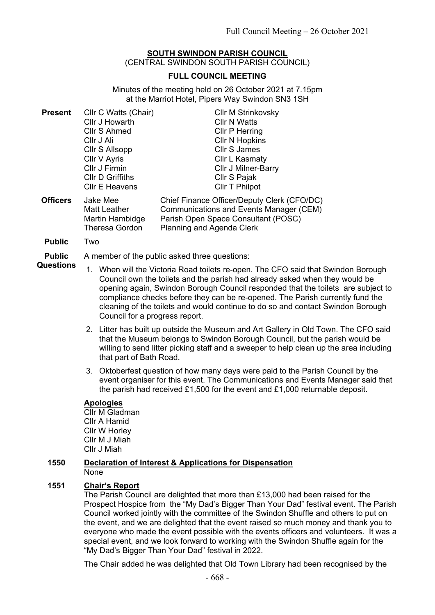#### **SOUTH SWINDON PARISH COUNCIL** (CENTRAL SWINDON SOUTH PARISH COUNCIL)

# **FULL COUNCIL MEETING**

Minutes of the meeting held on 26 October 2021 at 7.15pm at the Marriot Hotel, Pipers Way Swindon SN3 1SH

| <b>Present</b> | Cllr C Watts (Chair)  | <b>CIIr M Strinkovsky</b>                   |
|----------------|-----------------------|---------------------------------------------|
|                | Cllr J Howarth        | <b>CIIr N Watts</b>                         |
|                | Cllr S Ahmed          | Cllr P Herring                              |
|                | Cllr J Ali            | <b>CIIr N Hopkins</b>                       |
|                | Cllr S Allsopp        | <b>Cllr S James</b>                         |
|                | Cllr V Ayris          | Cllr L Kasmaty                              |
|                | Cllr J Firmin         | Cllr J Milner-Barry                         |
|                | Cllr D Griffiths      | Cllr S Pajak                                |
|                | <b>CIIr E Heavens</b> | <b>CIIr T Philpot</b>                       |
| ∩ffirare       | Alaka Mee             | Chief Einance Officer/Denuty Clerk (CEO/DC) |

- **Officers** Jake Mee Matt Leather Martin Hambidge Theresa Gordon Chief Finance Officer/Deputy Clerk (CFO/DC) Communications and Events Manager (CEM) Parish Open Space Consultant (POSC) Planning and Agenda Clerk
- **Public** Two

**Public Questions** A member of the public asked three questions:

- 1. When will the Victoria Road toilets re-open. The CFO said that Swindon Borough Council own the toilets and the parish had already asked when they would be opening again, Swindon Borough Council responded that the toilets are subject to compliance checks before they can be re-opened. The Parish currently fund the cleaning of the toilets and would continue to do so and contact Swindon Borough Council for a progress report.
- 2. Litter has built up outside the Museum and Art Gallery in Old Town. The CFO said that the Museum belongs to Swindon Borough Council, but the parish would be willing to send litter picking staff and a sweeper to help clean up the area including that part of Bath Road.
- 3. Oktoberfest question of how many days were paid to the Parish Council by the event organiser for this event. The Communications and Events Manager said that the parish had received £1,500 for the event and £1,000 returnable deposit.

# **Apologies**

Cllr M Gladman Cllr A Hamid Cllr W Horley Cllr M J Miah Cllr J Miah

### **1550 Declaration of Interest & Applications for Dispensation** None

# **1551 Chair's Report**

The Parish Council are delighted that more than £13,000 had been raised for the Prospect Hospice from the "My Dad's Bigger Than Your Dad" festival event. The Parish Council worked jointly with the committee of the Swindon Shuffle and others to put on the event, and we are delighted that the event raised so much money and thank you to everyone who made the event possible with the events officers and volunteers. It was a special event, and we look forward to working with the Swindon Shuffle again for the "My Dad's Bigger Than Your Dad" festival in 2022.

The Chair added he was delighted that Old Town Library had been recognised by the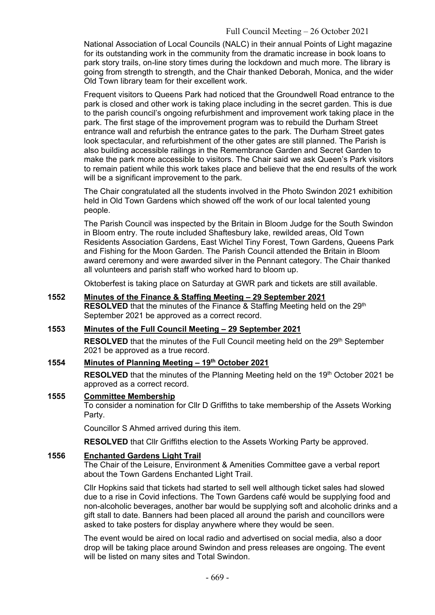National Association of Local Councils (NALC) in their annual Points of Light magazine for its outstanding work in the community from the dramatic increase in book loans to park story trails, on-line story times during the lockdown and much more. The library is going from strength to strength, and the Chair thanked Deborah, Monica, and the wider Old Town library team for their excellent work.

Frequent visitors to Queens Park had noticed that the Groundwell Road entrance to the park is closed and other work is taking place including in the secret garden. This is due to the parish council's ongoing refurbishment and improvement work taking place in the park. The first stage of the improvement program was to rebuild the Durham Street entrance wall and refurbish the entrance gates to the park. The Durham Street gates look spectacular, and refurbishment of the other gates are still planned. The Parish is also building accessible railings in the Remembrance Garden and Secret Garden to make the park more accessible to visitors. The Chair said we ask Queen's Park visitors to remain patient while this work takes place and believe that the end results of the work will be a significant improvement to the park.

The Chair congratulated all the students involved in the Photo Swindon 2021 exhibition held in Old Town Gardens which showed off the work of our local talented young people.

The Parish Council was inspected by the Britain in Bloom Judge for the South Swindon in Bloom entry. The route included Shaftesbury lake, rewilded areas, Old Town Residents Association Gardens, East Wichel Tiny Forest, Town Gardens, Queens Park and Fishing for the Moon Garden. The Parish Council attended the Britain in Bloom award ceremony and were awarded silver in the Pennant category. The Chair thanked all volunteers and parish staff who worked hard to bloom up.

Oktoberfest is taking place on Saturday at GWR park and tickets are still available.

# **1552 Minutes of the Finance & Staffing Meeting – 29 September 2021 RESOLVED** that the minutes of the Finance & Staffing Meeting held on the 29<sup>th</sup> September 2021 be approved as a correct record.

# **1553 Minutes of the Full Council Meeting – 29 September 2021**

**RESOLVED** that the minutes of the Full Council meeting held on the 29<sup>th</sup> September 2021 be approved as a true record.

# **1554 Minutes of Planning Meeting – 19th October 2021**

**RESOLVED** that the minutes of the Planning Meeting held on the 19<sup>th</sup> October 2021 be approved as a correct record.

#### **1555 Committee Membership**

To consider a nomination for Cllr D Griffiths to take membership of the Assets Working Party.

Councillor S Ahmed arrived during this item.

**RESOLVED** that Cllr Griffiths election to the Assets Working Party be approved.

### **1556 Enchanted Gardens Light Trail**

The Chair of the Leisure, Environment & Amenities Committee gave a verbal report about the Town Gardens Enchanted Light Trail.

Cllr Hopkins said that tickets had started to sell well although ticket sales had slowed due to a rise in Covid infections. The Town Gardens café would be supplying food and non-alcoholic beverages, another bar would be supplying soft and alcoholic drinks and a gift stall to date. Banners had been placed all around the parish and councillors were asked to take posters for display anywhere where they would be seen.

The event would be aired on local radio and advertised on social media, also a door drop will be taking place around Swindon and press releases are ongoing. The event will be listed on many sites and Total Swindon.